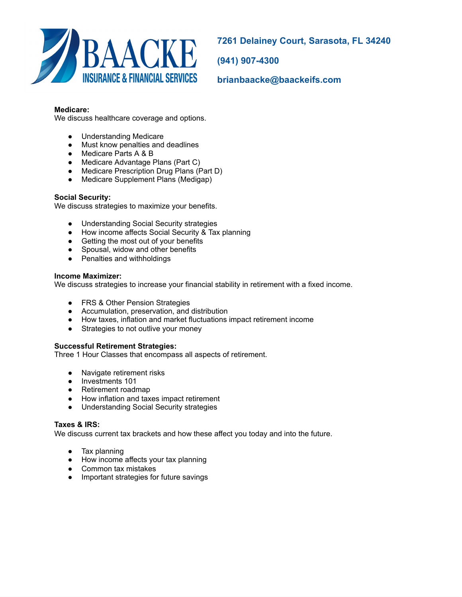

**7261 Delainey Court, Sarasota, FL 34240** 

**(941) 907-4300** 

**brianbaacke@baackeifs.com** 

## **Medicare:**

We discuss healthcare coverage and options.

- Understanding Medicare
- Must know penalties and deadlines
- Medicare Parts A & B
- Medicare Advantage Plans (Part C)
- Medicare Prescription Drug Plans (Part D)
- Medicare Supplement Plans (Medigap)

## **Social Security:**

We discuss strategies to maximize your benefits.

- Understanding Social Security strategies
- How income affects Social Security & Tax planning
- Getting the most out of your benefits
- Spousal, widow and other benefits
- Penalties and withholdings

#### **Income Maximizer:**

We discuss strategies to increase your financial stability in retirement with a fixed income.

- FRS & Other Pension Strategies
- Accumulation, preservation, and distribution
- How taxes, inflation and market fluctuations impact retirement income
- Strategies to not outlive your money

#### **Successful Retirement Strategies:**

Three 1 Hour Classes that encompass all aspects of retirement.

- Navigate retirement risks
- Investments 101
- Retirement roadmap
- How inflation and taxes impact retirement
- Understanding Social Security strategies

#### **Taxes & IRS:**

We discuss current tax brackets and how these affect you today and into the future.

- Tax planning
- How income affects your tax planning
- Common tax mistakes
- Important strategies for future savings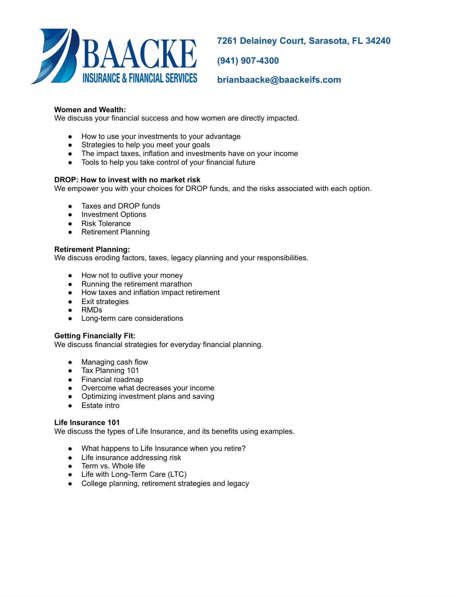

**7261 Delainey Court, Sarasota, FL 34240** 

**(941) 907-4300** 

**brianbaacke@baackeifs.com** 

# **Women and Wealth:**

We discuss your financial success and how women are directly impacted.

- How to use your investments to your advantage
- Strategies to help you meet your goals
- The impact taxes, inflation and investments have on your income
- Tools to help you take control of your financial future

## **DROP: How to invest with no market risk**

We empower you with your choices for DROP funds, and the risks associated with each option.

- Taxes and DROP funds
- Investment Options
- Risk Tolerance
- Retirement Planning

## **Retirement Planning:**

We discuss eroding factors, taxes, legacy planning and your responsibilities.

- How not to outlive your money
- Running the retirement marathon
- How taxes and inflation impact retirement
- Exit strategies
- RMDs
- Long-term care considerations

#### **Getting Financially Fit:**

We discuss financial strategies for everyday financial planning.

- Managing cash flow
- Tax Planning 101
- Financial roadmap
- Overcome what decreases your income
- Optimizing investment plans and saving
- Estate intro

## **Life Insurance 101**

We discuss the types of Life Insurance, and its benefits using examples.

- What happens to Life Insurance when you retire?
- Life insurance addressing risk
- Term vs. Whole life
- Life with Long-Term Care (LTC)
- College planning, retirement strategies and legacy